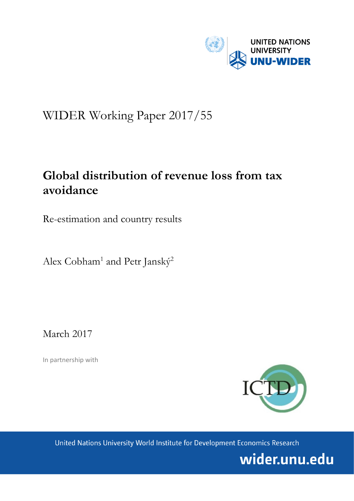

# WIDER Working Paper 2017/55

# **Global distribution of revenue loss from tax avoidance**

Re-estimation and country results

Alex Cobham<sup>1</sup> and Petr Janský<sup>2</sup>

March 2017

In partnership with



United Nations University World Institute for Development Economics Research

wider.unu.edu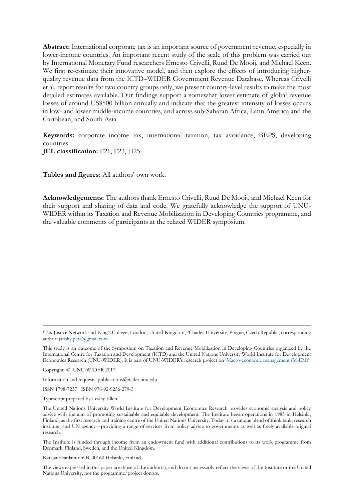**Abstract:** International corporate tax is an important source of government revenue, especially in lower-income countries. An important recent study of the scale of this problem was carried out by International Monetary Fund researchers Ernesto Crivelli, Ruud De Mooij, and Michael Keen. We first re-estimate their innovative model, and then explore the effects of introducing higherquality revenue data from the ICTD–WIDER Government Revenue Database. Whereas Crivelli et al. report results for two country groups only, we present country-level results to make the most detailed estimates available. Our findings support a somewhat lower estimate of global revenue losses of around US\$500 billion annually and indicate that the greatest intensity of losses occurs in low- and lower middle-income countries, and across sub-Saharan Africa, Latin America and the Caribbean, and South Asia.

**Keywords:** corporate income tax, international taxation, tax avoidance, BEPS, developing countries **JEL classification:** F21, F23, H25

**Tables and figures:** All authors' own work.

**Acknowledgements:** The authors thank Ernesto Crivelli, Ruud De Mooij, and Michael Keen for their support and sharing of data and code. We gratefully acknowledge the support of UNU-WIDER within its Taxation and Revenue Mobilization in Developing Countries programme, and the valuable comments of participants at the related WIDER symposium.

<sup>1</sup>Tax Justice Network and King's College, London, United Kingdom, <sup>2</sup>Charles University, Prague, Czech Republic, corresponding author: [jansky.peta@gmail.com.](mailto:jansky.peta@gmail.com)

This study is an outcome of the Symposium on Taxation and Revenue Mobilization in Developing Countries organized by the International Centre for Taxation and Development (ICTD) and the United Nations University World Institute for Development Economics Research (UNU-WIDER). It is part of UNU-WIDER's research project on '[Macro-economic management \(M-EM\)](https://www.wider.unu.edu/node/377)'.

Copyright © UNU-WIDER 2017

Information and requests: publications@wider.unu.edu

ISSN 1798-7237 ISBN 978-92-9256-279-3

Typescript prepared by Lesley Ellen.

The United Nations University World Institute for Development Economics Research provides economic analysis and policy advice with the aim of promoting sustainable and equitable development. The Institute began operations in 1985 in Helsinki, Finland, as the first research and training centre of the United Nations University. Today it is a unique blend of think tank, research institute, and UN agency—providing a range of services from policy advice to governments as well as freely available original research.

The Institute is funded through income from an endowment fund with additional contributions to its work programme from Denmark, Finland, Sweden, and the United Kingdom.

Katajanokanlaituri 6 B, 00160 Helsinki, Finland

The views expressed in this paper are those of the author(s), and do not necessarily reflect the views of the Institute or the United Nations University, nor the programme/project donors.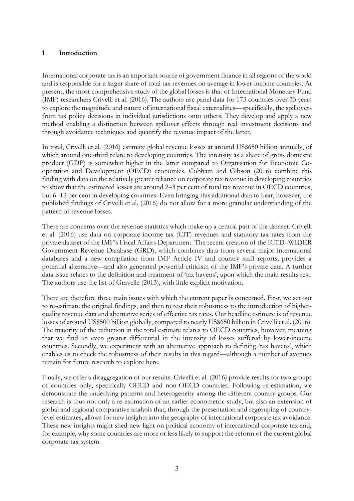# **1 Introduction**

International corporate tax is an important source of government finance in all regions of the world and is responsible for a larger share of total tax revenues on average in lower-income countries. At present, the most comprehensive study of the global losses is that of International Monetary Fund (IMF) researchers Crivelli et al. (2016). The authors use panel data for 173 countries over 33 years to explore the magnitude and nature of international fiscal externalities—specifically, the spillovers from tax policy decisions in individual jurisdictions onto others. They develop and apply a new method enabling a distinction between spillover effects through real investment decisions and through avoidance techniques and quantify the revenue impact of the latter.

In total, Crivelli et al. (2016) estimate global revenue losses at around US\$650 billion annually, of which around one-third relate to developing countries. The intensity as a share of gross domestic product (GDP) is somewhat higher in the latter compared to Organisation for Economic Cooperation and Development (OECD) economies. Cobham and Gibson (2016) combine this finding with data on the relatively greater reliance on corporate tax revenue in developing countries to show that the estimated losses are around 2–3 per cent of total tax revenue in OECD countries, but 6–13 per cent in developing countries. Even bringing this additional data to bear, however, the published findings of Crivelli et al. (2016) do not allow for a more granular understanding of the pattern of revenue losses.

There are concerns over the revenue statistics which make up a central part of the dataset. Crivelli et al. (2016) use data on corporate income tax (CIT) revenues and statutory tax rates from the private dataset of the IMF's Fiscal Affairs Department. The recent creation of the ICTD–WIDER Government Revenue Database (GRD), which combines data from several major international databases and a new compilation from IMF Article IV and country staff reports, provides a potential alternative—and also generated powerful criticism of the IMF's private data. A further data issue relates to the definition and treatment of 'tax havens', upon which the main results rest. The authors use the list of Gravelle (2013), with little explicit motivation.

There are therefore three main issues with which the current paper is concerned. First, we set out to re-estimate the original findings, and then to test their robustness to the introduction of higherquality revenue data and alternative series of effective tax rates. Our headline estimate is of revenue losses of around US\$500 billion globally, compared to nearly US\$650 billion in Crivelli et al. (2016). The majority of the reduction in the total estimate relates to OECD countries, however, meaning that we find an even greater differential in the intensity of losses suffered by lower-income countries. Secondly, we experiment with an alternative approach to defining 'tax havens', which enables us to check the robustness of their results in this regard—although a number of avenues remain for future research to explore here.

Finally, we offer a disaggregation of our results. Crivelli et al. (2016) provide results for two groups of countries only, specifically OECD and non-OECD countries. Following re-estimation, we demonstrate the underlying patterns and heterogeneity among the different country groups. Our research is thus not only a re-estimation of an earlier econometric study, but also an extension of global and regional comparative analysis that, through the presentation and regrouping of countrylevel estimates, allows for new insights into the geography of international corporate tax avoidance. These new insights might shed new light on political economy of international corporate tax and, for example, why some countries are more or less likely to support the reform of the current global corporate tax system.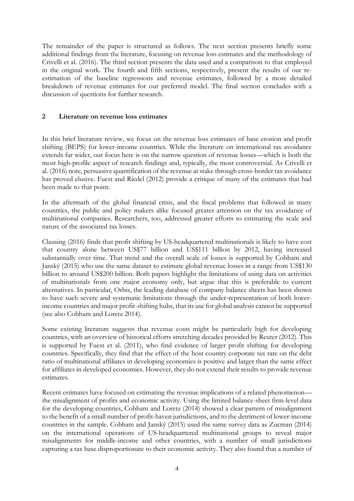The remainder of the paper is structured as follows. The next section presents briefly some additional findings from the literature, focusing on revenue loss estimates and the methodology of Crivelli et al. (2016). The third section presents the data used and a comparison to that employed in the original work. The fourth and fifth sections, respectively, present the results of our reestimation of the baseline regressions and revenue estimates, followed by a more detailed breakdown of revenue estimates for our preferred model. The final section concludes with a discussion of questions for further research.

### **2 Literature on revenue loss estimates**

In this brief literature review, we focus on the revenue loss estimates of base erosion and profit shifting (BEPS) for lower-income countries. While the literature on international tax avoidance extends far wider, our focus here is on the narrow question of revenue losses—which is both the most high-profile aspect of research findings and, typically, the most controversial. As Crivelli et al. (2016) note, persuasive quantification of the revenue at stake through cross-border tax avoidance has proved elusive. Fuest and Riedel (2012) provide a critique of many of the estimates that had been made to that point.

In the aftermath of the global financial crisis, and the fiscal problems that followed in many countries, the public and policy makers alike focused greater attention on the tax avoidance of multinational companies. Researchers, too, addressed greater efforts to estimating the scale and nature of the associated tax losses.

Clausing (2016) finds that profit shifting by US-headquartered multinationals is likely to have cost that country alone between US\$77 billion and US\$111 billion by 2012, having increased substantially over time. That trend and the overall scale of losses is supported by Cobham and Janský (2015) who use the same dataset to estimate global revenue losses in a range from US\$130 billion to around US\$200 billion. Both papers highlight the limitations of using data on activities of multinationals from one major economy only, but argue that this is preferable to current alternatives. In particular, Orbis, the leading database of company balance sheets has been shown to have such severe and systematic limitations through the under-representation of both lowerincome countries and major profit-shifting hubs, that its use for global analysis cannot be supported (see also Cobham and Loretz 2014).

Some existing literature suggests that revenue costs might be particularly high for developing countries, with an overview of historical efforts stretching decades provided by Reuter (2012). This is supported by Fuest et al. (2011), who find evidence of larger profit shifting for developing countries. Specifically, they find that the effect of the host country corporate tax rate on the debt ratio of multinational affiliates in developing economies is positive and larger than the same effect for affiliates in developed economies. However, they do not extend their results to provide revenue estimates.

Recent estimates have focused on estimating the revenue implications of a related phenomenon the misalignment of profits and economic activity. Using the limited balance-sheet firm-level data for the developing countries, Cobham and Loretz (2014) showed a clear pattern of misalignment to the benefit of a small number of profit-haven jurisdictions, and to the detriment of lower-income countries in the sample. Cobham and Janský (2015) used the same survey data as Zucman (2014) on the international operations of US-headquartered multinational groups to reveal major misalignments for middle-income and other countries, with a number of small jurisdictions capturing a tax base disproportionate to their economic activity. They also found that a number of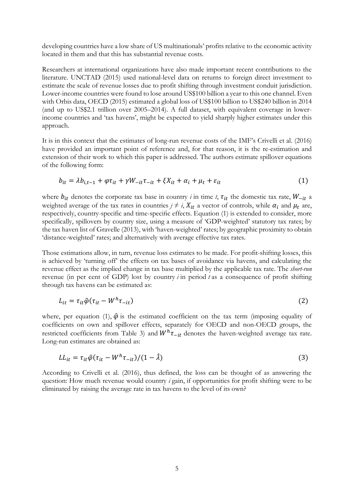developing countries have a low share of US multinationals' profits relative to the economic activity located in them and that this has substantial revenue costs.

Researchers at international organizations have also made important recent contributions to the literature. UNCTAD (2015) used national-level data on returns to foreign direct investment to estimate the scale of revenue losses due to profit shifting through investment conduit jurisdiction. Lower-income countries were found to lose around US\$100 billion a year to this one channel. Even with Orbis data, OECD (2015) estimated a global loss of US\$100 billion to US\$240 billion in 2014 (and up to US\$2.1 trillion over 2005–2014). A full dataset, with equivalent coverage in lowerincome countries and 'tax havens', might be expected to yield sharply higher estimates under this approach.

It is in this context that the estimates of long-run revenue costs of the IMF's Crivelli et al. (2016) have provided an important point of reference and, for that reason, it is the re-estimation and extension of their work to which this paper is addressed. The authors estimate spillover equations of the following form:

$$
b_{it} = \lambda b_{i,t-1} + \varphi \tau_{it} + \gamma W_{-it} \tau_{-it} + \xi X_{it} + \alpha_i + \mu_t + \varepsilon_{it}
$$
\n<sup>(1)</sup>

where  $b_{it}$  denotes the corporate tax base in country *i* in time *t*,  $\tau_{it}$  the domestic tax rate,  $W_{-it}$  a weighted average of the tax rates in countries  $j \neq i$ ,  $X_{it}$  a vector of controls, while  $\alpha_i$  and  $\mu_t$  are, respectively, country-specific and time-specific effects. Equation (1) is extended to consider, more specifically, spillovers by country size, using a measure of 'GDP-weighted' statutory tax rates; by the tax haven list of Gravelle (2013), with 'haven-weighted' rates; by geographic proximity to obtain 'distance-weighted' rates; and alternatively with average effective tax rates.

Those estimations allow, in turn, revenue loss estimates to be made. For profit-shifting losses, this is achieved by 'turning off' the effects on tax bases of avoidance via havens, and calculating the revenue effect as the implied change in tax base multiplied by the applicable tax rate. The *short-run*  revenue (in per cent of GDP) lost by country *i* in period *t* as a consequence of profit shifting through tax havens can be estimated as:

$$
L_{it} = \tau_{it}\hat{\varphi}(\tau_{it} - W^h \tau_{-it})
$$
\n<sup>(2)</sup>

where, per equation (1),  $\hat{\varphi}$  is the estimated coefficient on the tax term (imposing equality of coefficients on own and spillover effects, separately for OECD and non-OECD groups, the restricted coefficients from Table 3) and  $W^h \tau_{-it}$  denotes the haven-weighted average tax rate. Long-run estimates are obtained as:

$$
LL_{it} = \tau_{it}\hat{\varphi}(\tau_{it} - W^h \tau_{-it})/(1 - \hat{\lambda})
$$
\n(3)

According to Crivelli et al. (2016), thus defined, the loss can be thought of as answering the question: How much revenue would country *i* gain, if opportunities for profit shifting were to be eliminated by raising the average rate in tax havens to the level of its own?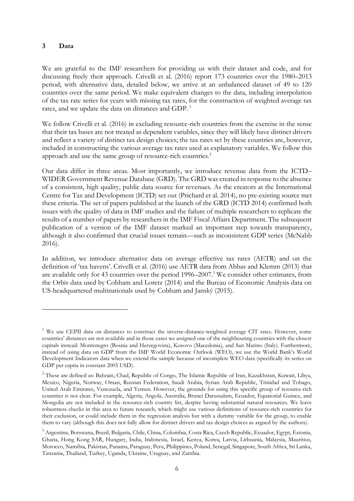## **3 Data**

<u>.</u>

We are grateful to the IMF researchers for providing us with their dataset and code, and for discussing freely their approach. Crivelli et al. (2016) report 173 countries over the 1980–2013 period; with alternative data, detailed below, we arrive at an unbalanced dataset of 49 to 120 countries over the same period. We make equivalent changes to the data, including interpolation of the tax rate series for years with missing tax rates, for the construction of weighted average tax rates, and we update the data on distances and GDP.<sup>1</sup>

We follow Crivelli et al. (2016) in excluding resource-rich countries from the exercise in the sense that their tax bases are not treated as dependent variables, since they will likely have distinct drivers and reflect a variety of distinct tax design choices; the tax rates set by these countries are, however, included in constructing the various average tax rates used as explanatory variables. We follow this approach and use the same group of resource-rich countries.<sup>2</sup>

Our data differ in three areas. Most importantly, we introduce revenue data from the ICTD– WIDER Government Revenue Database (GRD). The GRD was created in response to the absence of a consistent, high quality, public data source for revenues. As the creators at the International Centre for Tax and Development (ICTD) set out (Prichard et al. 2014), no pre-existing source met these criteria. The set of papers published at the launch of the GRD (ICTD 2014) confirmed both issues with the quality of data in IMF studies and the failure of multiple researchers to replicate the results of a number of papers by researchers in the IMF Fiscal Affairs Department. The subsequent publication of a version of the IMF dataset marked an important step towards transparency, although it also confirmed that crucial issues remain—such as inconsistent GDP series (McNabb 2016).

In addition, we introduce alternative data on average effective tax rates (AETR) and on the definition of 'tax havens'. Crivelli et al. (2016) use AETR data from Abbas and Klemm (2013) that are available only for 43 countries over the period 1996–2007.<sup>3</sup> We consider other estimates, from the Orbis data used by Cobham and Loretz (2014) and the Bureau of Economic Analysis data on US-headquartered multinationals used by Cobham and Janský (2015).

<sup>&</sup>lt;sup>1</sup> We use CEPII data on distances to construct the inverse-distance-weighted average CIT rates. However, some countries' distances are not available and in those cases we assigned one of the neighbouring countries with the closest capitals instead: Montenegro (Bosnia and Herzegovina), Kosovo (Macedonia), and San Marino (Italy). Furthermore, instead of using data on GDP from the IMF World Economic Outlook (WEO), we use the World Bank's World Development Indicators data when we extend the sample because of incomplete WEO data (specifically its series on GDP per capita in constant 2005 USD).

<sup>&</sup>lt;sup>2</sup> These are defined as: Bahrain, Chad, Republic of Congo, The Islamic Republic of Iran, Kazakhstan, Kuwait, Libya, Mexico, Nigeria, Norway, Oman, Russian Federation, Saudi Arabia, Syrian Arab Republic, Trinidad and Tobago, United Arab Emirates, Venezuela, and Yemen. However, the grounds for using this specific group of resource-rich countries is not clear. For example, Algeria, Angola, Australia, Brunei Darussalam, Ecuador, Equatorial Guinea, and Mongolia are not included in the resource-rich country list, despite having substantial natural resources. We leave robustness checks in this area to future research, which might use various definitions of resource-rich countries for their exclusion, or could include them in the regression analysis but with a dummy variable for the group, to enable them to vary (although this does not fully allow for distinct drivers and tax design choices as argued by the authors).

<sup>3</sup> Argentina, Botswana, Brazil, Bulgaria, Chile, China, Colombia, Costa Rica, Czech Republic, Ecuador, Egypt, Estonia, Ghana, Hong Kong SAR, Hungary, India, Indonesia, Israel, Kenya, Korea, Latvia, Lithuania, Malaysia, Mauritius, Morocco, Namibia, Pakistan, Panama, Paraguay, Peru, Philippines, Poland, Senegal, Singapore, South Africa, Sri Lanka, Tanzania, Thailand, Turkey, Uganda, Ukraine, Uruguay, and Zambia.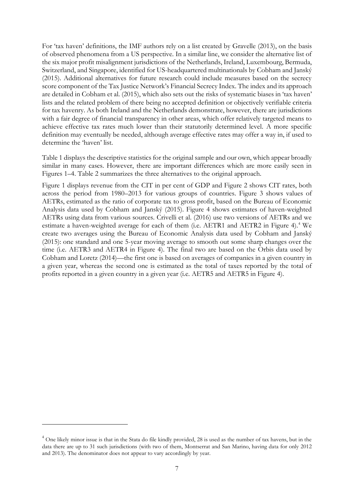For 'tax haven' definitions, the IMF authors rely on a list created by Gravelle (2013), on the basis of observed phenomena from a US perspective. In a similar line, we consider the alternative list of the six major profit misalignment jurisdictions of the Netherlands, Ireland, Luxembourg, Bermuda, Switzerland, and Singapore, identified for US-headquartered multinationals by Cobham and Janský (2015). Additional alternatives for future research could include measures based on the secrecy score component of the Tax Justice Network's Financial Secrecy Index. The index and its approach are detailed in Cobham et al. (2015), which also sets out the risks of systematic biases in 'tax haven' lists and the related problem of there being no accepted definition or objectively verifiable criteria for tax havenry. As both Ireland and the Netherlands demonstrate, however, there are jurisdictions with a fair degree of financial transparency in other areas, which offer relatively targeted means to achieve effective tax rates much lower than their statutorily determined level. A more specific definition may eventually be needed, although average effective rates may offer a way in, if used to determine the 'haven' list.

Table 1 displays the descriptive statistics for the original sample and our own, which appear broadly similar in many cases. However, there are important differences which are more easily seen in Figures 1–4. Table 2 summarizes the three alternatives to the original approach.

Figure 1 displays revenue from the CIT in per cent of GDP and Figure 2 shows CIT rates, both across the period from 1980–2013 for various groups of countries. Figure 3 shows values of AETRs, estimated as the ratio of corporate tax to gross profit, based on the Bureau of Economic Analysis data used by Cobham and Janský (2015). Figure 4 shows estimates of haven-weighted AETRs using data from various sources. Crivelli et al. (2016) use two versions of AETRs and we estimate a haven-weighted average for each of them (i.e. AETR1 and AETR2 in Figure 4).<sup>4</sup> We create two averages using the Bureau of Economic Analysis data used by Cobham and Janský (2015): one standard and one 5-year moving average to smooth out some sharp changes over the time (i.e. AETR3 and AETR4 in Figure 4). The final two are based on the Orbis data used by Cobham and Loretz (2014)—the first one is based on averages of companies in a given country in a given year, whereas the second one is estimated as the total of taxes reported by the total of profits reported in a given country in a given year (i.e. AETR5 and AETR5 in Figure 4).

<u>.</u>

<sup>&</sup>lt;sup>4</sup> One likely minor issue is that in the Stata do file kindly provided, 28 is used as the number of tax havens, but in the data there are up to 31 such jurisdictions (with two of them, Montserrat and San Marino, having data for only 2012 and 2013). The denominator does not appear to vary accordingly by year.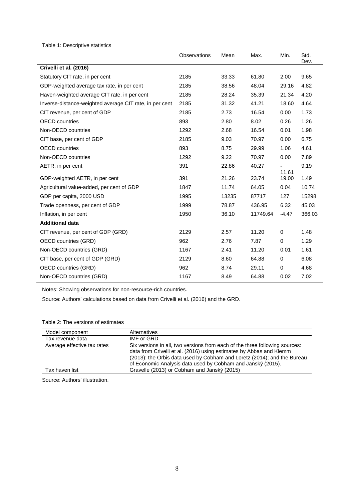Table 1: Descriptive statistics

|                                                         | Observations | Mean  | Max.     | Min.           | Std.<br>Dev. |
|---------------------------------------------------------|--------------|-------|----------|----------------|--------------|
| Crivelli et al. (2016)                                  |              |       |          |                |              |
| Statutory CIT rate, in per cent                         | 2185         | 33.33 | 61.80    | 2.00           | 9.65         |
| GDP-weighted average tax rate, in per cent              | 2185         | 38.56 | 48.04    | 29.16          | 4.82         |
| Haven-weighted average CIT rate, in per cent            | 2185         | 28.24 | 35.39    | 21.34          | 4.20         |
| Inverse-distance-weighted average CIT rate, in per cent | 2185         | 31.32 | 41.21    | 18.60          | 4.64         |
| CIT revenue, per cent of GDP                            | 2185         | 2.73  | 16.54    | 0.00           | 1.73         |
| <b>OECD</b> countries                                   | 893          | 2.80  | 8.02     | 0.26           | 1.26         |
| Non-OECD countries                                      | 1292         | 2.68  | 16.54    | 0.01           | 1.98         |
| CIT base, per cent of GDP                               | 2185         | 9.03  | 70.97    | 0.00           | 6.75         |
| <b>OECD</b> countries                                   | 893          | 8.75  | 29.99    | 1.06           | 4.61         |
| Non-OECD countries                                      | 1292         | 9.22  | 70.97    | 0.00           | 7.89         |
| AETR, in per cent                                       | 391          | 22.86 | 40.27    |                | 9.19         |
| GDP-weighted AETR, in per cent                          | 391          | 21.26 | 23.74    | 11.61<br>19.00 | 1.49         |
| Agricultural value-added, per cent of GDP               | 1847         | 11.74 | 64.05    | 0.04           | 10.74        |
| GDP per capita, 2000 USD                                | 1995         | 13235 | 87717    | 127            | 15298        |
| Trade openness, per cent of GDP                         | 1999         | 78.87 | 436.95   | 6.32           | 45.03        |
| Inflation, in per cent                                  | 1950         | 36.10 | 11749.64 | $-4.47$        | 366.03       |
| <b>Additional data</b>                                  |              |       |          |                |              |
| CIT revenue, per cent of GDP (GRD)                      | 2129         | 2.57  | 11.20    | $\mathbf 0$    | 1.48         |
| <b>OECD</b> countries (GRD)                             | 962          | 2.76  | 7.87     | 0              | 1.29         |
| Non-OECD countries (GRD)                                | 1167         | 2.41  | 11.20    | 0.01           | 1.61         |
| CIT base, per cent of GDP (GRD)                         | 2129         | 8.60  | 64.88    | 0              | 6.08         |
| <b>OECD</b> countries (GRD)                             | 962          | 8.74  | 29.11    | $\pmb{0}$      | 4.68         |
| Non-OECD countries (GRD)                                | 1167         | 8.49  | 64.88    | 0.02           | 7.02         |

Notes: Showing observations for non-resource-rich countries.

Source: Authors' calculations based on data from Crivelli et al. (2016) and the GRD.

| Model component             | Alternatives                                                                                                                                                                                                                                                                                 |
|-----------------------------|----------------------------------------------------------------------------------------------------------------------------------------------------------------------------------------------------------------------------------------------------------------------------------------------|
| Tax revenue data            | IMF or GRD                                                                                                                                                                                                                                                                                   |
| Average effective tax rates | Six versions in all, two versions from each of the three following sources:<br>data from Crivelli et al. (2016) using estimates by Abbas and Klemm<br>(2013); the Orbis data used by Cobham and Loretz (2014); and the Bureau<br>of Economic Analysis data used by Cobham and Janský (2015). |
| Tax haven list              | Gravelle (2013) or Cobham and Janský (2015)                                                                                                                                                                                                                                                  |

Table 2: The versions of estimates

Source: Authors' illustration.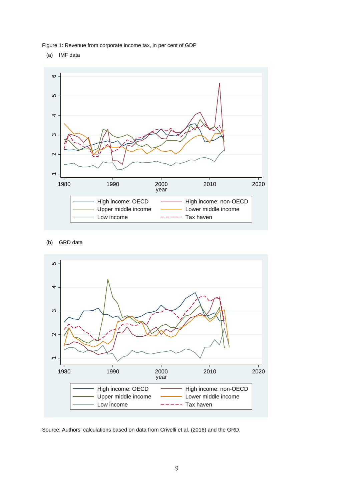Figure 1: Revenue from corporate income tax, in per cent of GDP

(a) IMF data



#### (b) GRD data



Source: Authors' calculations based on data from Crivelli et al. (2016) and the GRD.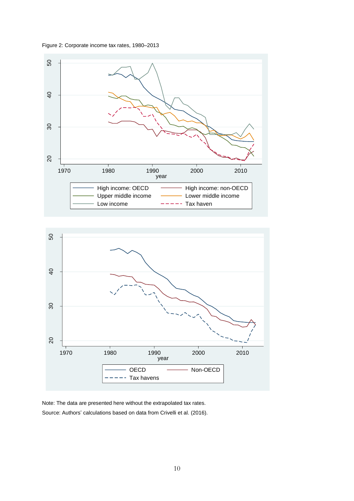





Note: The data are presented here without the extrapolated tax rates. Source: Authors' calculations based on data from Crivelli et al. (2016).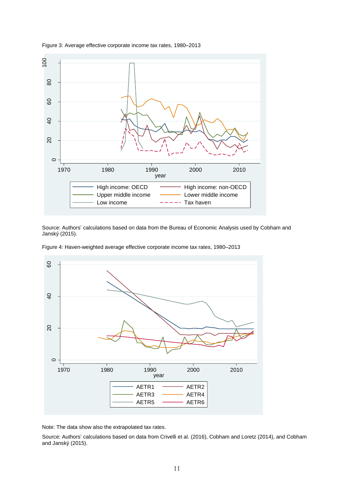

Figure 3: Average effective corporate income tax rates, 1980–2013

Source: Authors' calculations based on data from the Bureau of Economic Analysis used by Cobham and Janský (2015).

Figure 4: Haven-weighted average effective corporate income tax rates, 1980–2013



Note: The data show also the extrapolated tax rates.

Source: Authors' calculations based on data from Crivelli et al. (2016), Cobham and Loretz (2014), and Cobham and Janský (2015).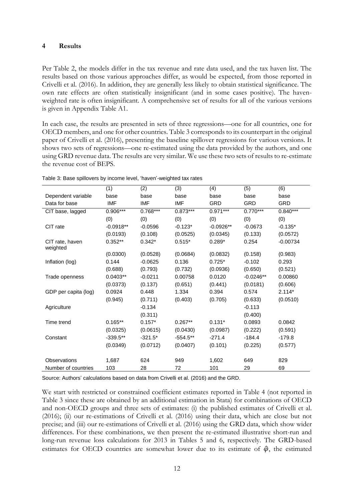#### **4 Results**

Per Table 2, the models differ in the tax revenue and rate data used, and the tax haven list. The results based on those various approaches differ, as would be expected, from those reported in Crivelli et al. (2016). In addition, they are generally less likely to obtain statistical significance. The own rate effects are often statistically insignificant (and in some cases positive). The havenweighted rate is often insignificant. A comprehensive set of results for all of the various versions is given in Appendix Table A1.

In each case, the results are presented in sets of three regressions—one for all countries, one for OECD members, and one for other countries. Table 3 corresponds to its counterpart in the original paper of Crivelli et al. (2016), presenting the baseline spillover regressions for various versions. It shows two sets of regressions—one re-estimated using the data provided by the authors, and one using GRD revenue data. The results are very similar. We use these two sets of results to re-estimate the revenue cost of BEPS.

|                             | (1)         | (2)        | (3)        | (4)         | (5)         | (6)        |
|-----------------------------|-------------|------------|------------|-------------|-------------|------------|
| Dependent variable          | base        | base       | base       | base        | base        | base       |
| Data for base               | <b>IMF</b>  | <b>IMF</b> | <b>IMF</b> | <b>GRD</b>  | <b>GRD</b>  | <b>GRD</b> |
| CIT base, lagged            | 0.906***    | $0.768***$ | $0.873***$ | $0.971***$  | $0.770***$  | $0.840***$ |
|                             | (0)         | (0)        | (0)        | (0)         | (0)         | (0)        |
| CIT rate                    | $-0.0918**$ | $-0.0596$  | $-0.123*$  | $-0.0926**$ | $-0.0673$   | $-0.135*$  |
|                             | (0.0193)    | (0.108)    | (0.0525)   | (0.0345)    | (0.133)     | (0.0572)   |
| CIT rate, haven<br>weighted | $0.352**$   | $0.342*$   | $0.515*$   | $0.289*$    | 0.254       | $-0.00734$ |
|                             | (0.0300)    | (0.0528)   | (0.0684)   | (0.0832)    | (0.158)     | (0.983)    |
| Inflation (log)             | 0.144       | $-0.0625$  | 0.136      | $0.725*$    | $-0.102$    | 0.293      |
|                             | (0.688)     | (0.793)    | (0.732)    | (0.0936)    | (0.650)     | (0.521)    |
| Trade openness              | $0.0403**$  | $-0.0211$  | 0.00758    | 0.0120      | $-0.0246**$ | 0.00860    |
|                             | (0.0373)    | (0.137)    | (0.651)    | (0.441)     | (0.0181)    | (0.606)    |
| GDP per capita (log)        | 0.0924      | 0.448      | 1.334      | 0.394       | 0.574       | $2.114*$   |
|                             | (0.945)     | (0.711)    | (0.403)    | (0.705)     | (0.633)     | (0.0510)   |
| Agriculture                 |             | $-0.134$   |            |             | $-0.113$    |            |
|                             |             | (0.311)    |            |             | (0.400)     |            |
| Time trend                  | $0.165**$   | $0.157*$   | $0.267**$  | $0.131*$    | 0.0893      | 0.0842     |
|                             | (0.0325)    | (0.0615)   | (0.0430)   | (0.0987)    | (0.222)     | (0.591)    |
| Constant                    | $-339.5**$  | $-321.5*$  | $-554.5**$ | $-271.4$    | $-184.4$    | $-179.8$   |
|                             | (0.0349)    | (0.0712)   | (0.0407)   | (0.101)     | (0.225)     | (0.577)    |
|                             |             |            |            |             |             |            |
| Observations                | 1,687       | 624        | 949        | 1,602       | 649         | 829        |
| Number of countries         | 103         | 28         | 72         | 101         | 29          | 69         |

Table 3: Base spillovers by income level, 'haven'-weighted tax rates

Source: Authors' calculations based on data from Crivelli et al. (2016) and the GRD.

We start with restricted or constrained coefficient estimates reported in Table 4 (not reported in Table 3 since these are obtained by an additional estimation in Stata) for combinations of OECD and non-OECD groups and three sets of estimates: (i) the published estimates of Crivelli et al. (2016); (ii) our re-estimations of Crivelli et al. (2016) using their data, which are close but not precise; and (iii) our re-estimations of Crivelli et al. (2016) using the GRD data, which show wider differences. For these combinations, we then present the re-estimated illustrative short-run and long-run revenue loss calculations for 2013 in Tables 5 and 6, respectively. The GRD-based estimates for OECD countries are somewhat lower due to its estimate of  $\hat{\varphi}$ , the estimated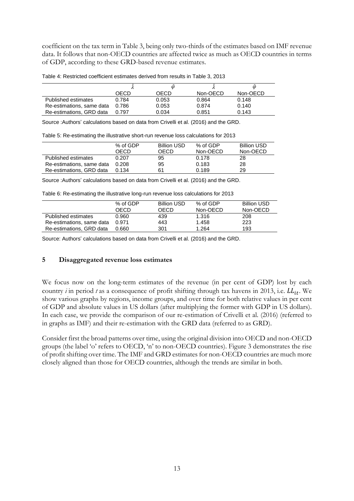coefficient on the tax term in Table 3, being only two-thirds of the estimates based on IMF revenue data. It follows that non-OECD countries are affected twice as much as OECD countries in terms of GDP, according to these GRD-based revenue estimates.

|                           |       |       |          | Φ        |
|---------------------------|-------|-------|----------|----------|
|                           | OECD  | OECD  | Non-OECD | Non-OECD |
| Published estimates       | 0.784 | 0.053 | 0.864    | 0.148    |
| Re-estimations, same data | 0.786 | 0.053 | 0.874    | 0.140    |
| Re-estimations, GRD data  | 0.797 | 0.034 | 0.851    | 0.143    |

Table 4: Restricted coefficient estimates derived from results in Table 3, 2013

Source :Authors' calculations based on data from Crivelli et al. (2016) and the GRD.

Table 5: Re-estimating the illustrative short-run revenue loss calculations for 2013

|                           | % of GDP<br>OECD | <b>Billion USD</b><br>OECD | % of GDP<br>Non-OECD | <b>Billion USD</b><br>Non-OECD |
|---------------------------|------------------|----------------------------|----------------------|--------------------------------|
| Published estimates       | 0.207            | 95                         | 0.178                | 28                             |
| Re-estimations, same data | 0.208            | 95                         | 0.183                | 28                             |
| Re-estimations, GRD data  | 0.134            | 61                         | 0.189                | 29                             |

Source :Authors' calculations based on data from Crivelli et al. (2016) and the GRD.

Table 6: Re-estimating the illustrative long-run revenue loss calculations for 2013

|                           | % of GDP<br>OECD | <b>Billion USD</b><br>OECD | % of GDP<br>Non-OECD | <b>Billion USD</b><br>Non-OECD |
|---------------------------|------------------|----------------------------|----------------------|--------------------------------|
| Published estimates       | 0.960            | 439                        | 1.316                | 208                            |
| Re-estimations, same data | 0.971            | 443                        | 1.458                | 223                            |
| Re-estimations, GRD data  | 0.660            | 301                        | 1.264                | 193                            |

Source: Authors' calculations based on data from Crivelli et al. (2016) and the GRD.

#### **5 Disaggregated revenue loss estimates**

We focus now on the long-term estimates of the revenue (in per cent of GDP) lost by each country *i* in period *t* as a consequence of profit shifting through tax havens in 2013, i.e.  $LL_{it}$ . We show various graphs by regions, income groups, and over time for both relative values in per cent of GDP and absolute values in US dollars (after multiplying the former with GDP in US dollars). In each case, we provide the comparison of our re-estimation of Crivelli et al. (2016) (referred to in graphs as IMF) and their re-estimation with the GRD data (referred to as GRD).

Consider first the broad patterns over time, using the original division into OECD and non-OECD groups (the label 'o' refers to OECD, 'n' to non-OECD countries). Figure 3 demonstrates the rise of profit shifting over time. The IMF and GRD estimates for non-OECD countries are much more closely aligned than those for OECD countries, although the trends are similar in both.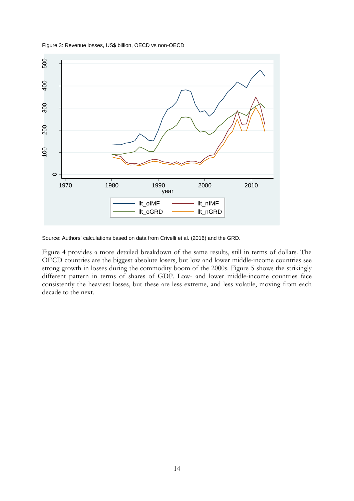



Source: Authors' calculations based on data from Crivelli et al. (2016) and the GRD.

Figure 4 provides a more detailed breakdown of the same results, still in terms of dollars. The OECD countries are the biggest absolute losers, but low and lower middle-income countries see strong growth in losses during the commodity boom of the 2000s. Figure 5 shows the strikingly different pattern in terms of shares of GDP. Low- and lower middle-income countries face consistently the heaviest losses, but these are less extreme, and less volatile, moving from each decade to the next.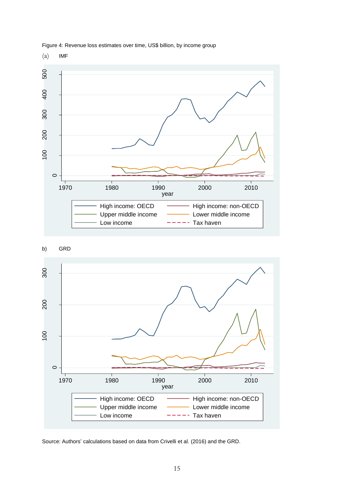







Source: Authors' calculations based on data from Crivelli et al. (2016) and the GRD.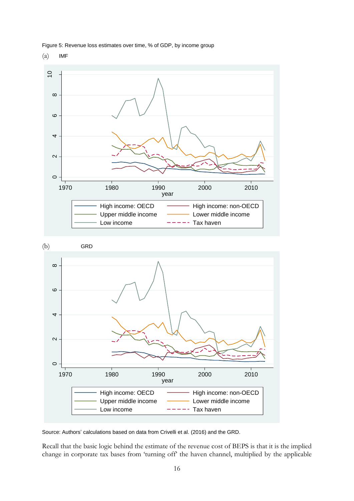

Figure 5: Revenue loss estimates over time, % of GDP, by income group

(a) IMF



Source: Authors' calculations based on data from Crivelli et al. (2016) and the GRD.

Recall that the basic logic behind the estimate of the revenue cost of BEPS is that it is the implied change in corporate tax bases from 'turning off' the haven channel, multiplied by the applicable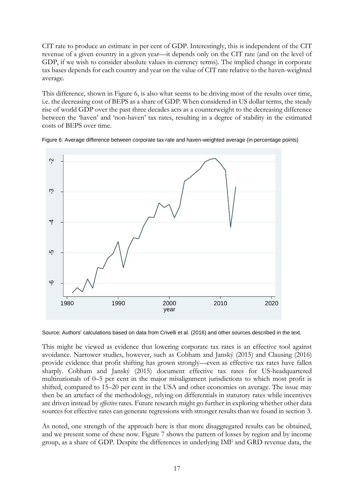CIT rate to produce an estimate in per cent of GDP. Interestingly, this is independent of the CIT revenue of a given country in a given year—it depends only on the CIT rate (and on the level of GDP, if we wish to consider absolute values in currency terms). The implied change in corporate tax bases depends for each country and year on the value of CIT rate relative to the haven-weighted average.

This difference, shown in Figure 6, is also what seems to be driving most of the results over time, i.e. the decreasing cost of BEPS as a share of GDP. When considered in US dollar terms, the steady rise of world GDP over the past three decades acts as a counterweight to the decreasing difference between the 'haven' and 'non-haven' tax rates, resulting in a degree of stability in the estimated costs of BEPS over time.



Figure 6: Average difference between corporate tax rate and haven-weighted average (in percentage points)

Source: Authors' calculations based on data from Crivelli et al. (2016) and other sources described in the text.

This might be viewed as evidence that lowering corporate tax rates is an effective tool against avoidance. Narrower studies, however, such as Cobham and Janský (2015) and Clausing (2016) provide evidence that profit shifting has grown strongly—even as effective tax rates have fallen sharply. Cobham and Janský (2015) document effective tax rates for US-headquartered multinationals of 0–5 per cent in the major misalignment jurisdictions to which most profit is shifted, compared to 15–20 per cent in the USA and other economies on average. The issue may then be an artefact of the methodology, relying on differentials in statutory rates while incentives are driven instead by *effective* rates. Future research might go further in exploring whether other data sources for effective rates can generate regressions with stronger results than we found in section 3.

As noted, one strength of the approach here is that more disaggregated results can be obtained, and we present some of these now. Figure 7 shows the pattern of losses by region and by income group, as a share of GDP. Despite the differences in underlying IMF and GRD revenue data, the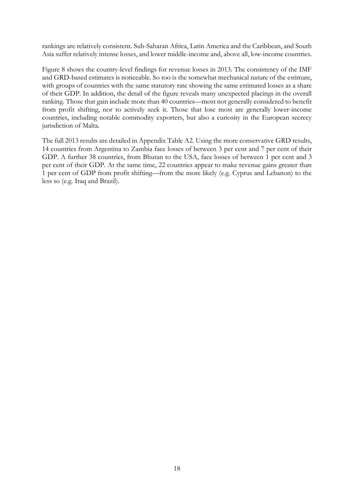rankings are relatively consistent. Sub-Saharan Africa, Latin America and the Caribbean, and South Asia suffer relatively intense losses, and lower middle-income and, above all, low-income countries.

Figure 8 shows the country-level findings for revenue losses in 2013. The consistency of the IMF and GRD-based estimates is noticeable. So too is the somewhat mechanical nature of the estimate, with groups of countries with the same statutory rate showing the same estimated losses as a share of their GDP. In addition, the detail of the figure reveals many unexpected placings in the overall ranking. Those that gain include more than 40 countries—most not generally considered to benefit from profit shifting, nor to actively seek it. Those that lose most are generally lower-income countries, including notable commodity exporters, but also a curiosity in the European secrecy jurisdiction of Malta.

The full 2013 results are detailed in Appendix Table A2. Using the more conservative GRD results, 14 countries from Argentina to Zambia face losses of between 3 per cent and 7 per cent of their GDP. A further 38 countries, from Bhutan to the USA, face losses of between 1 per cent and 3 per cent of their GDP. At the same time, 22 countries appear to make revenue gains greater than 1 per cent of GDP from profit shifting—from the more likely (e.g. Cyprus and Lebanon) to the less so (e.g. Iraq and Brazil).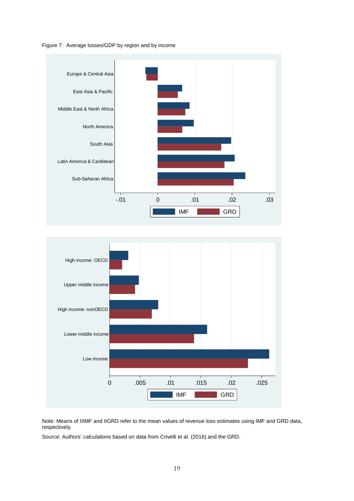





Note: Means of IIIMF and IIGRD refer to the mean values of revenue loss estimates using IMF and GRD data, respectively.

Source: Authors' calculations based on data from Crivelli et al. (2016) and the GRD.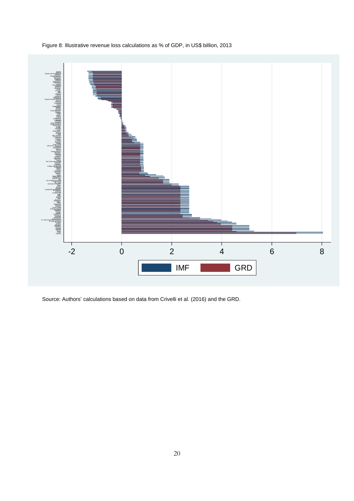

Figure 8: Illustrative revenue loss calculations as % of GDP, in US\$ billion, 2013

Source: Authors' calculations based on data from Crivelli et al. (2016) and the GRD.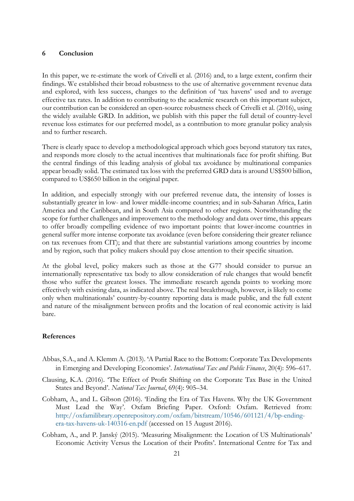#### **6 Conclusion**

In this paper, we re-estimate the work of Crivelli et al. (2016) and, to a large extent, confirm their findings. We established their broad robustness to the use of alternative government revenue data and explored, with less success, changes to the definition of 'tax havens' used and to average effective tax rates. In addition to contributing to the academic research on this important subject, our contribution can be considered an open-source robustness check of Crivelli et al. (2016), using the widely available GRD. In addition, we publish with this paper the full detail of country-level revenue loss estimates for our preferred model, as a contribution to more granular policy analysis and to further research.

There is clearly space to develop a methodological approach which goes beyond statutory tax rates, and responds more closely to the actual incentives that multinationals face for profit shifting. But the central findings of this leading analysis of global tax avoidance by multinational companies appear broadly solid. The estimated tax loss with the preferred GRD data is around US\$500 billion, compared to US\$650 billion in the original paper.

In addition, and especially strongly with our preferred revenue data, the intensity of losses is substantially greater in low- and lower middle-income countries; and in sub-Saharan Africa, Latin America and the Caribbean, and in South Asia compared to other regions. Notwithstanding the scope for further challenges and improvement to the methodology and data over time, this appears to offer broadly compelling evidence of two important points: that lower-income countries in general suffer more intense corporate tax avoidance (even before considering their greater reliance on tax revenues from CIT); and that there are substantial variations among countries by income and by region, such that policy makers should pay close attention to their specific situation.

At the global level, policy makers such as those at the G77 should consider to pursue an internationally representative tax body to allow consideration of rule changes that would benefit those who suffer the greatest losses. The immediate research agenda points to working more effectively with existing data, as indicated above. The real breakthrough, however, is likely to come only when multinationals' country-by-country reporting data is made public, and the full extent and nature of the misalignment between profits and the location of real economic activity is laid bare.

#### **References**

- Abbas, S.A., and A. Klemm A. (2013). 'A Partial Race to the Bottom: Corporate Tax Developments in Emerging and Developing Economies'. *International Tax and Public Finance*, 20(4): 596–617.
- Clausing, K.A. (2016). 'The Effect of Profit Shifting on the Corporate Tax Base in the United States and Beyond'. *National Tax Journal*, 69(4): 905–34.
- Cobham, A., and L. Gibson (2016). 'Ending the Era of Tax Havens. Why the UK Government Must Lead the Way'. Oxfam Briefing Paper. Oxford: Oxfam. Retrieved from: [http://oxfamilibrary.openrepository.com/oxfam/bitstream/10546/601121/4/bp-ending](http://oxfamilibrary.openrepository.com/oxfam/bitstream/10546/601121/4/bp-ending-era-tax-havens-uk-140316-en.pdf)[era-tax-havens-uk-140316-en.pdf](http://oxfamilibrary.openrepository.com/oxfam/bitstream/10546/601121/4/bp-ending-era-tax-havens-uk-140316-en.pdf) (accessed on 15 August 2016).
- Cobham, A., and P. Janský (2015). 'Measuring Misalignment: the Location of US Multinationals' Economic Activity Versus the Location of their Profits'. International Centre for Tax and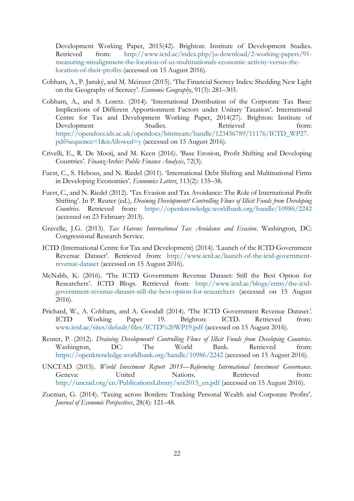Development Working Paper, 2015(42). Brighton: Institute of Development Studies. Retrieved from: [http://www.ictd.ac/index.php/ju-download/2-working-papers/91](http://www.ictd.ac/index.php/ju-download/2-working-papers/91-measuring-misalignment-the-location-of-us-multinationals-economic-activity-versus-the-location-of-their-profits) [measuring-misalignment-the-location-of-us-multinationals-economic-activity-versus-the](http://www.ictd.ac/index.php/ju-download/2-working-papers/91-measuring-misalignment-the-location-of-us-multinationals-economic-activity-versus-the-location-of-their-profits)[location-of-their-profits](http://www.ictd.ac/index.php/ju-download/2-working-papers/91-measuring-misalignment-the-location-of-us-multinationals-economic-activity-versus-the-location-of-their-profits) (accessed on 15 August 2016).

- Cobham, A., P. Janský, and M. Meinzer (2015). 'The Financial Secrecy Index: Shedding New Light on the Geography of Secrecy'. *Economic Geography*, 91(3): 281–303.
- Cobham, A., and S. Loretz. (2014). 'International Distribution of the Corporate Tax Base: Implications of Different Apportionment Factors under Unitary Taxation'. International Centre for Tax and Development Working Paper, 2014(27). Brighton: Institute of Development Studies. Retrieved from: [https://opendocs.ids.ac.uk/opendocs/bitstream/handle/123456789/11176/ICTD\\_WP27.](https://opendocs.ids.ac.uk/opendocs/bitstream/handle/123456789/11176/ICTD_WP27.pdf?sequence=1&isAllowed=y) [pdf?sequence=1&isAllowed=y](https://opendocs.ids.ac.uk/opendocs/bitstream/handle/123456789/11176/ICTD_WP27.pdf?sequence=1&isAllowed=y) (accessed on 15 August 2016).
- Crivelli, E., R. De Mooij, and M. Keen (2016). 'Base Erosion, Profit Shifting and Developing Countries'. *FinanzArchiv: Public Finance Analysis*, 72(3).
- Fuest, C., S. Hebous, and N. Riedel (2011). 'International Debt Shifting and Multinational Firms in Developing Economies'. *Economics Letters*, 113(2): 135–38.
- Fuest, C., and N. Riedel (2012). 'Tax Evasion and Tax Avoidance: The Role of International Profit Shifting'. In P. Reuter (ed.), *Draining Development? Controlling Flows of Illicit Funds from Developing Countries*. Retrieved from: <https://openknowledge.worldbank.org/handle/10986/2242> (accessed on 23 February 2013).
- Gravelle, J.G. (2013). *Tax Havens: International Tax Avoidance and Evasion*. Washington, DC: Congressional Research Service.
- ICTD (International Centre for Tax and Development) (2014). 'Launch of the ICTD Government Revenue Dataset'. Retrieved from: [http://www.ictd.ac/launch-of-the-ictd-government](http://www.ictd.ac/launch-of-the-ictd-government-revenue-dataset)[revenue-dataset](http://www.ictd.ac/launch-of-the-ictd-government-revenue-dataset) (accessed on 15 August 2016).
- McNabb, K. (2016). 'The ICTD Government Revenue Dataset: Still the Best Option for Researchers'. ICTD Blogs. Retrieved from: [http://www.ictd.ac/blogs/entry/the-ictd](http://www.ictd.ac/blogs/entry/the-ictd-government-revenue-dataset-still-the-best-option-for-researchers)[government-revenue-dataset-still-the-best-option-for-researchers](http://www.ictd.ac/blogs/entry/the-ictd-government-revenue-dataset-still-the-best-option-for-researchers) (accessed on 15 August 2016).
- Prichard, W., A. Cobham, and A. Goodall (2014). 'The ICTD Government Revenue Dataset*'.* ICTD Working Paper 19. Brighton: ICTD. Retrieved from: [www.ictd.ac/sites/default/files/ICTD%20WP19.pdf](file:///C:/Users/Alex/AppData/Local/Microsoft/Windows/INetCache/Content.Outlook/JFI832L7/www.ictd.ac/sites/default/files/ICTD%20WP19.pdf) (accessed on 15 August 2016).
- Reuter, P. (2012). *Draining Development? Controlling Flows of Illicit Funds from Developing Countries*. Washington, DC: The World Bank. Retrieved from: <https://openknowledge.worldbank.org/handle/10986/2242> (accessed on 15 August 2016).
- UNCTAD (2015). *World Investment Report 2015—Reforming International Investment Governance*. Geneva: United Nations. Retrieved from: [http://unctad.org/en/PublicationsLibrary/wir2015\\_en.pdf](http://unctad.org/en/PublicationsLibrary/wir2015_en.pdf) (accessed on 15 August 2016).
- Zucman, G. (2014). 'Taxing across Borders: Tracking Personal Wealth and Corporate Profits'. *Journal of Economic Perspectives*, 28(4): 121–48.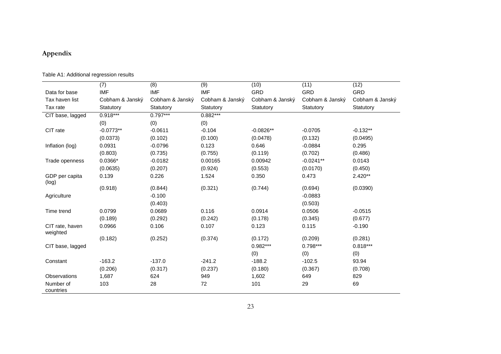# **Appendix**

## Table A1: Additional regression results

|                             | (7)             | (8)             | (9)             | (10)            | (11)            | (12)            |
|-----------------------------|-----------------|-----------------|-----------------|-----------------|-----------------|-----------------|
| Data for base               | <b>IMF</b>      | <b>IMF</b>      | <b>IMF</b>      | <b>GRD</b>      | GRD             | <b>GRD</b>      |
| Tax haven list              | Cobham & Janský | Cobham & Janský | Cobham & Janský | Cobham & Janský | Cobham & Janský | Cobham & Janský |
| Tax rate                    | Statutory       | Statutory       | Statutory       | Statutory       | Statutory       | Statutory       |
| CIT base, lagged            | $0.918***$      | $0.797***$      | $0.882***$      |                 |                 |                 |
|                             | (0)             | (0)             | (0)             |                 |                 |                 |
| CIT rate                    | $-0.0773**$     | $-0.0611$       | $-0.104$        | $-0.0826**$     | $-0.0705$       | $-0.132**$      |
|                             | (0.0373)        | (0.102)         | (0.100)         | (0.0478)        | (0.132)         | (0.0495)        |
| Inflation (log)             | 0.0931          | $-0.0796$       | 0.123           | 0.646           | $-0.0884$       | 0.295           |
|                             | (0.803)         | (0.735)         | (0.755)         | (0.119)         | (0.702)         | (0.486)         |
| Trade openness              | $0.0366*$       | $-0.0182$       | 0.00165         | 0.00942         | $-0.0241**$     | 0.0143          |
|                             | (0.0635)        | (0.207)         | (0.924)         | (0.553)         | (0.0170)        | (0.450)         |
| GDP per capita<br>(log)     | 0.139           | 0.226           | 1.524           | 0.350           | 0.473           | $2.420**$       |
|                             | (0.918)         | (0.844)         | (0.321)         | (0.744)         | (0.694)         | (0.0390)        |
| Agriculture                 |                 | $-0.100$        |                 |                 | $-0.0883$       |                 |
|                             |                 | (0.403)         |                 |                 | (0.503)         |                 |
| Time trend                  | 0.0799          | 0.0689          | 0.116           | 0.0914          | 0.0506          | $-0.0515$       |
|                             | (0.189)         | (0.292)         | (0.242)         | (0.178)         | (0.345)         | (0.677)         |
| CIT rate, haven<br>weighted | 0.0966          | 0.106           | 0.107           | 0.123           | 0.115           | $-0.190$        |
|                             | (0.182)         | (0.252)         | (0.374)         | (0.172)         | (0.209)         | (0.281)         |
| CIT base, lagged            |                 |                 |                 | $0.982***$      | $0.798***$      | $0.818***$      |
|                             |                 |                 |                 | (0)             | (0)             | (0)             |
| Constant                    | $-163.2$        | $-137.0$        | $-241.2$        | $-188.2$        | $-102.5$        | 93.94           |
|                             | (0.206)         | (0.317)         | (0.237)         | (0.180)         | (0.367)         | (0.708)         |
| Observations                | 1,687           | 624             | 949             | 1,602           | 649             | 829             |
| Number of<br>countries      | 103             | 28              | 72              | 101             | 29              | 69              |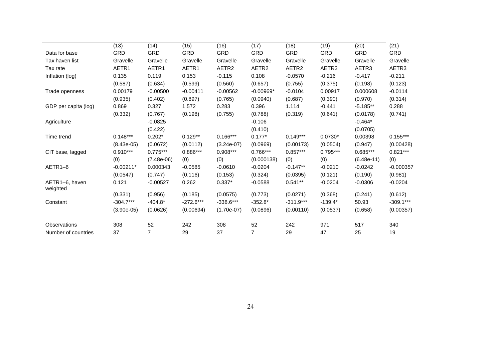|                            | (13)         | (14)           | (15)        | (16)              | (17)              | (18)              | (19)       | (20)         | (21)        |
|----------------------------|--------------|----------------|-------------|-------------------|-------------------|-------------------|------------|--------------|-------------|
| Data for base              | <b>GRD</b>   | <b>GRD</b>     | GRD         | <b>GRD</b>        | GRD               | <b>GRD</b>        | <b>GRD</b> | GRD          | <b>GRD</b>  |
| Tax haven list             | Gravelle     | Gravelle       | Gravelle    | Gravelle          | Gravelle          | Gravelle          | Gravelle   | Gravelle     | Gravelle    |
| Tax rate                   | AETR1        | AETR1          | AETR1       | AETR <sub>2</sub> | AETR <sub>2</sub> | AETR <sub>2</sub> | AETR3      | AETR3        | AETR3       |
| Inflation (log)            | 0.135        | 0.119          | 0.153       | $-0.115$          | 0.108             | $-0.0570$         | $-0.216$   | $-0.417$     | $-0.211$    |
|                            | (0.587)      | (0.634)        | (0.599)     | (0.560)           | (0.657)           | (0.755)           | (0.375)    | (0.198)      | (0.123)     |
| Trade openness             | 0.00179      | $-0.00500$     | $-0.00411$  | $-0.00562$        | $-0.00969*$       | $-0.0104$         | 0.00917    | 0.000608     | $-0.0114$   |
|                            | (0.935)      | (0.402)        | (0.897)     | (0.765)           | (0.0940)          | (0.687)           | (0.390)    | (0.970)      | (0.314)     |
| GDP per capita (log)       | 0.869        | 0.327          | 1.572       | 0.283             | 0.396             | 1.114             | $-0.441$   | $-5.185**$   | 0.288       |
|                            | (0.332)      | (0.767)        | (0.198)     | (0.755)           | (0.788)           | (0.319)           | (0.641)    | (0.0178)     | (0.741)     |
| Agriculture                |              | $-0.0825$      |             |                   | $-0.106$          |                   |            | $-0.464*$    |             |
|                            |              | (0.422)        |             |                   | (0.410)           |                   |            | (0.0705)     |             |
| Time trend                 | $0.148***$   | $0.202*$       | $0.129**$   | $0.166***$        | $0.177*$          | $0.149***$        | $0.0730*$  | 0.00398      | $0.155***$  |
|                            | $(8.43e-05)$ | (0.0672)       | (0.0112)    | $(3.24e-07)$      | (0.0969)          | (0.00173)         | (0.0504)   | (0.947)      | (0.00428)   |
| CIT base, lagged           | $0.910***$   | $0.775***$     | $0.886***$  | $0.908***$        | 0.766***          | $0.857***$        | $0.795***$ | $0.685***$   | $0.821***$  |
|                            | (0)          | $(7.48e-06)$   | (0)         | (0)               | (0.000138)        | (0)               | (0)        | $(6.48e-11)$ | (0)         |
| AETR1-6                    | $-0.00211*$  | 0.000343       | $-0.0585$   | $-0.0610$         | $-0.0204$         | $-0.147**$        | $-0.0210$  | $-0.0242$    | $-0.000357$ |
|                            | (0.0547)     | (0.747)        | (0.116)     | (0.153)           | (0.324)           | (0.0395)          | (0.121)    | (0.190)      | (0.981)     |
| AETR1-6, haven<br>weighted | 0.121        | $-0.00527$     | 0.262       | $0.337*$          | $-0.0588$         | $0.541**$         | $-0.0204$  | $-0.0306$    | $-0.0204$   |
|                            | (0.331)      | (0.956)        | (0.185)     | (0.0575)          | (0.773)           | (0.0271)          | (0.368)    | (0.241)      | (0.612)     |
| Constant                   | $-304.7***$  | $-404.8*$      | $-272.6***$ | $-338.6***$       | $-352.8*$         | $-311.9***$       | $-139.4*$  | 50.93        | $-309.1***$ |
|                            | $(3.90e-05)$ | (0.0626)       | (0.00694)   | $(1.70e-07)$      | (0.0896)          | (0.00110)         | (0.0537)   | (0.658)      | (0.00357)   |
| Observations               | 308          | 52             | 242         | 308               | 52                | 242               | 971        | 517          | 340         |
| Number of countries        | 37           | $\overline{7}$ | 29          | 37                | $\overline{7}$    | 29                | 47         | 25           | 19          |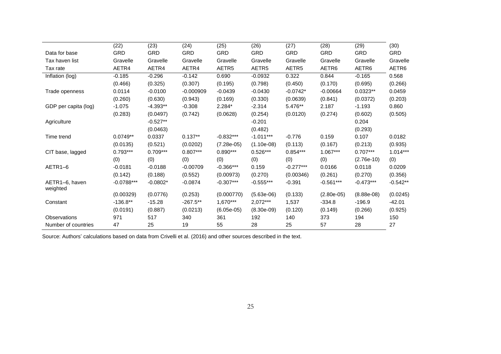|                            | (22)         | (23)       | (24)        | (25)         | (26)         | (27)        | (28)         | (29)         | (30)       |
|----------------------------|--------------|------------|-------------|--------------|--------------|-------------|--------------|--------------|------------|
| Data for base              | <b>GRD</b>   | GRD        | <b>GRD</b>  | <b>GRD</b>   | <b>GRD</b>   | <b>GRD</b>  | <b>GRD</b>   | GRD          | <b>GRD</b> |
| Tax haven list             | Gravelle     | Gravelle   | Gravelle    | Gravelle     | Gravelle     | Gravelle    | Gravelle     | Gravelle     | Gravelle   |
| Tax rate                   | AETR4        | AETR4      | AETR4       | AETR5        | AETR5        | AETR5       | AETR6        | AETR6        | AETR6      |
| Inflation (log)            | $-0.185$     | $-0.296$   | $-0.142$    | 0.690        | $-0.0932$    | 0.322       | 0.844        | $-0.165$     | 0.568      |
|                            | (0.466)      | (0.325)    | (0.307)     | (0.195)      | (0.798)      | (0.450)     | (0.170)      | (0.695)      | (0.266)    |
| Trade openness             | 0.0114       | $-0.0100$  | $-0.000909$ | $-0.0439$    | $-0.0430$    | $-0.0742*$  | $-0.00664$   | $0.0323**$   | 0.0459     |
|                            | (0.260)      | (0.630)    | (0.943)     | (0.169)      | (0.330)      | (0.0639)    | (0.841)      | (0.0372)     | (0.203)    |
| GDP per capita (log)       | $-1.075$     | $-4.393**$ | $-0.308$    | $2.284*$     | $-2.314$     | 5.476**     | 2.187        | $-1.193$     | 0.860      |
|                            | (0.283)      | (0.0497)   | (0.742)     | (0.0628)     | (0.254)      | (0.0120)    | (0.274)      | (0.602)      | (0.505)    |
| Agriculture                |              | $-0.527**$ |             |              | $-0.201$     |             |              | 0.204        |            |
|                            |              | (0.0463)   |             |              | (0.482)      |             |              | (0.293)      |            |
| Time trend                 | $0.0749**$   | 0.0337     | $0.137**$   | $-0.832***$  | $-1.011***$  | $-0.776$    | 0.159        | 0.107        | 0.0182     |
|                            | (0.0135)     | (0.521)    | (0.0202)    | $(7.28e-05)$ | $(1.10e-08)$ | (0.113)     | (0.167)      | (0.213)      | (0.935)    |
| CIT base, lagged           | $0.793***$   | $0.709***$ | $0.807***$  | $0.890***$   | $0.526***$   | $0.854***$  | $1.067***$   | $0.707***$   | $1.014***$ |
|                            | (0)          | (0)        | (0)         | (0)          | (0)          | (0)         | (0)          | $(2.76e-10)$ | (0)        |
| AETR1-6                    | $-0.0181$    | $-0.0188$  | $-0.00709$  | $-0.366***$  | 0.159        | $-0.277***$ | 0.0166       | 0.0118       | 0.0209     |
|                            | (0.142)      | (0.188)    | (0.552)     | (0.00973)    | (0.270)      | (0.00346)   | (0.261)      | (0.270)      | (0.356)    |
| AETR1-6, haven<br>weighted | $-0.0788***$ | $-0.0802*$ | $-0.0874$   | $-0.307***$  | $-0.555***$  | $-0.391$    | $-0.561***$  | $-0.473***$  | $-0.542**$ |
|                            | (0.00329)    | (0.0776)   | (0.253)     | (0.000770)   | $(5.63e-06)$ | (0.133)     | $(2.80e-05)$ | $(8.88e-08)$ | (0.0245)   |
| Constant                   | $-136.8**$   | $-15.28$   | $-267.5**$  | 1,670***     | 2,072***     | 1,537       | $-334.8$     | $-196.9$     | $-42.01$   |
|                            | (0.0191)     | (0.887)    | (0.0213)    | $(6.05e-05)$ | $(8.30e-09)$ | (0.120)     | (0.149)      | (0.266)      | (0.925)    |
| Observations               | 971          | 517        | 340         | 361          | 192          | 140         | 373          | 194          | 150        |
| Number of countries        | 47           | 25         | 19          | 55           | 28           | 25          | 57           | 28           | 27         |

Source: Authors' calculations based on data from Crivelli et al. (2016) and other sources described in the text.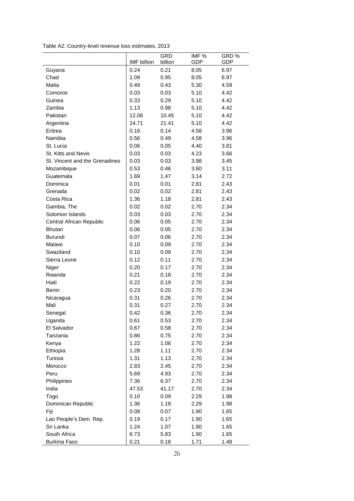Table A2: Country-level revenue loss estimates, 2013

|                                |                    | <b>GRD</b> | IMF %      | GRD %      |
|--------------------------------|--------------------|------------|------------|------------|
|                                | <b>IMF</b> billion | billion    | <b>GDP</b> | <b>GDP</b> |
| Guyana                         | 0.24               | 0.21       | 8.05       | 6.97       |
| Chad                           | 1.09               | 0.95       | 8.05       | 6.97       |
| Malta                          | 0.49               | 0.43       | 5.30       | 4.59       |
| Comoros                        | 0.03               | 0.03       | 5.10       | 4.42       |
| Guinea                         | 0.33               | 0.29       | 5.10       | 4.42       |
| Zambia                         | 1.13               | 0.98       | 5.10       | 4.42       |
| Pakistan                       | 12.06              | 10.45      | 5.10       | 4.42       |
| Argentina                      | 24.71              | 21.41      | 5.10       | 4.42       |
| Eritrea                        | 0.16               | 0.14       | 4.58       | 3.96       |
| Namibia                        | 0.56               | 0.49       | 4.58       | 3.96       |
| St. Lucia                      | 0.06               | 0.05       | 4.40       | 3.81       |
| St. Kitts and Nevis            | 0.03               | 0.03       | 4.23       | 3.66       |
| St. Vincent and the Grenadines | 0.03               | 0.03       | 3.98       | 3.45       |
| Mozambique                     | 0.53               | 0.46       | 3.60       | 3.11       |
| Guatemala                      | 1.69               | 1.47       | 3.14       | 2.72       |
| Dominica                       | 0.01               | 0.01       | 2.81       | 2.43       |
| Grenada                        | 0.02               | 0.02       | 2.81       | 2.43       |
| Costa Rica                     | 1.36               | 1.18       | 2.81       | 2.43       |
| Gambia, The                    | 0.02               | 0.02       | 2.70       | 2.34       |
| Solomon Islands                | 0.03               | 0.03       | 2.70       | 2.34       |
| Central African Republic       | 0.06               | 0.05       | 2.70       | 2.34       |
| <b>Bhutan</b>                  | 0.06               | 0.05       | 2.70       | 2.34       |
| <b>Burundi</b>                 | 0.07               | 0.06       | 2.70       | 2.34       |
| Malawi                         | 0.10               | 0.09       | 2.70       | 2.34       |
| Swaziland                      | 0.10               | 0.09       | 2.70       | 2.34       |
| Sierra Leone                   | 0.12               | 0.11       | 2.70       | 2.34       |
| Niger                          | 0.20               | 0.17       | 2.70       | 2.34       |
| Rwanda                         | 0.21               | 0.18       | 2.70       | 2.34       |
| Haiti                          | 0.22               | 0.19       | 2.70       | 2.34       |
| Benin                          | 0.23               | 0.20       | 2.70       | 2.34       |
| Nicaragua                      | 0.31               | 0.26       | 2.70       | 2.34       |
| Mali                           | 0.31               | 0.27       | 2.70       | 2.34       |
| Senegal                        | 0.42               | 0.36       | 2.70       | 2.34       |
| Uganda                         | 0.61               | 0.53       | 2.70       | 2.34       |
| El Salvador                    | 0.67               | 0.58       | 2.70       | 2.34       |
| Tanzania                       | 0.86               | 0.75       | 2.70       | 2.34       |
| Kenya                          | 1.22               | 1.06       | 2.70       | 2.34       |
| Ethiopia                       | 1.28               | 1.11       | 2.70       | 2.34       |
| Tunisia                        | 1.31               | 1.13       | 2.70       | 2.34       |
| Morocco                        | 2.83               | 2.45       | 2.70       | 2.34       |
| Peru                           | 5.69               | 4.93       | 2.70       | 2.34       |
| Philippines                    | 7.36               | 6.37       | 2.70       | 2.34       |
| India                          | 47.53              | 41.17      | 2.70       | 2.34       |
| Togo                           | 0.10               | 0.09       | 2.29       | 1.98       |
| Dominican Republic             | 1.36               | 1.18       | 2.29       | 1.98       |
| Fiji                           | 0.08               | 0.07       | 1.90       | 1.65       |
| Lao People's Dem. Rep.         | 0.19               | 0.17       | 1.90       | 1.65       |
| Sri Lanka                      | 1.24               | 1.07       | 1.90       | 1.65       |
| South Africa                   | 6.73               | 5.83       | 1.90       | 1.65       |
| Burkina Faso                   | 0.21               | 0.18       | 1.71       | 1.48       |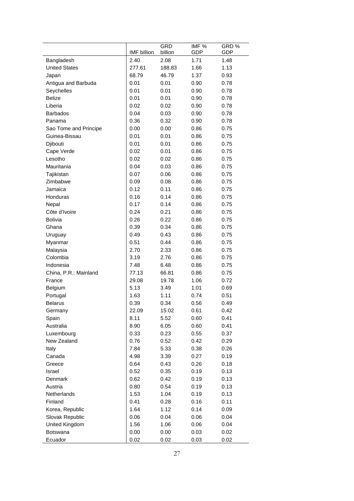|                       |             | <b>GRD</b> | IMF % | GRD%       |
|-----------------------|-------------|------------|-------|------------|
|                       | IMF billion | billion    | GDP   | <b>GDP</b> |
| Bangladesh            | 2.40        | 2.08       | 1.71  | 1.48       |
| <b>United States</b>  | 277.61      | 188.83     | 1.66  | 1.13       |
| Japan                 | 68.79       | 46.79      | 1.37  | 0.93       |
| Antigua and Barbuda   | 0.01        | 0.01       | 0.90  | 0.78       |
| Seychelles            | 0.01        | 0.01       | 0.90  | 0.78       |
| <b>Belize</b>         | 0.01        | 0.01       | 0.90  | 0.78       |
| Liberia               | 0.02        | 0.02       | 0.90  | 0.78       |
| <b>Barbados</b>       | 0.04        | 0.03       | 0.90  | 0.78       |
| Panama                | 0.36        | 0.32       | 0.90  | 0.78       |
| Sao Tome and Principe | 0.00        | 0.00       | 0.86  | 0.75       |
| Guinea-Bissau         | 0.01        | 0.01       | 0.86  | 0.75       |
| Djibouti              | 0.01        | 0.01       | 0.86  | 0.75       |
| Cape Verde            | 0.02        | 0.01       | 0.86  | 0.75       |
| Lesotho               | 0.02        | 0.02       | 0.86  | 0.75       |
| Mauritania            | 0.04        | 0.03       | 0.86  | 0.75       |
| Tajikistan            | 0.07        | 0.06       | 0.86  | 0.75       |
| Zimbabwe              | 0.09        | 0.08       | 0.86  | 0.75       |
| Jamaica               | 0.12        | 0.11       | 0.86  | 0.75       |
| Honduras              | 0.16        | 0.14       | 0.86  | 0.75       |
| Nepal                 | 0.17        | 0.14       | 0.86  | 0.75       |
| Côte d'Ivoire         | 0.24        | 0.21       | 0.86  | 0.75       |
| <b>Bolivia</b>        | 0.26        | 0.22       | 0.86  | 0.75       |
| Ghana                 | 0.39        | 0.34       | 0.86  | 0.75       |
| Uruguay               | 0.49        | 0.43       | 0.86  | 0.75       |
| Myanmar               | 0.51        | 0.44       | 0.86  | 0.75       |
| Malaysia              | 2.70        | 2.33       | 0.86  | 0.75       |
| Colombia              | 3.19        | 2.76       | 0.86  | 0.75       |
| Indonesia             | 7.48        | 6.48       | 0.86  | 0.75       |
| China, P.R.: Mainland | 77.13       | 66.81      | 0.86  | 0.75       |
| France                | 29.08       | 19.78      | 1.06  | 0.72       |
| Belgium               | 5.13        | 3.49       | 1.01  | 0.69       |
| Portugal              | 1.63        | 1.11       | 0.74  | 0.51       |
| <b>Belarus</b>        | 0.39        | 0.34       | 0.56  | 0.49       |
| Germany               | 22.09       | 15.02      | 0.61  | 0.42       |
| Spain                 | 8.11        | 5.52       | 0.60  | 0.41       |
| Australia             | 8.90        | 6.05       | 0.60  | 0.41       |
| Luxembourg            | 0.33        | 0.23       | 0.55  | 0.37       |
| New Zealand           | 0.76        | 0.52       | 0.42  | 0.29       |
| Italy                 | 7.84        | 5.33       | 0.38  | 0.26       |
| Canada                | 4.98        | 3.39       | 0.27  | 0.19       |
| Greece                | 0.64        | 0.43       | 0.26  | 0.18       |
| Israel                | 0.52        | 0.35       | 0.19  | 0.13       |
| Denmark               | 0.62        | 0.42       | 0.19  | 0.13       |
| Austria               | 0.80        | 0.54       | 0.19  | 0.13       |
| Netherlands           | 1.53        | 1.04       | 0.19  | 0.13       |
| Finland               | 0.41        | 0.28       | 0.16  | 0.11       |
| Korea, Republic       | 1.64        | 1.12       | 0.14  | 0.09       |
| Slovak Republic       | 0.06        | 0.04       | 0.06  | 0.04       |
| United Kingdom        | 1.56        | 1.06       | 0.06  | 0.04       |
| <b>Botswana</b>       | 0.00        | 0.00       | 0.03  | 0.02       |
| Ecuador               | 0.02        | 0.02       | 0.03  | 0.02       |